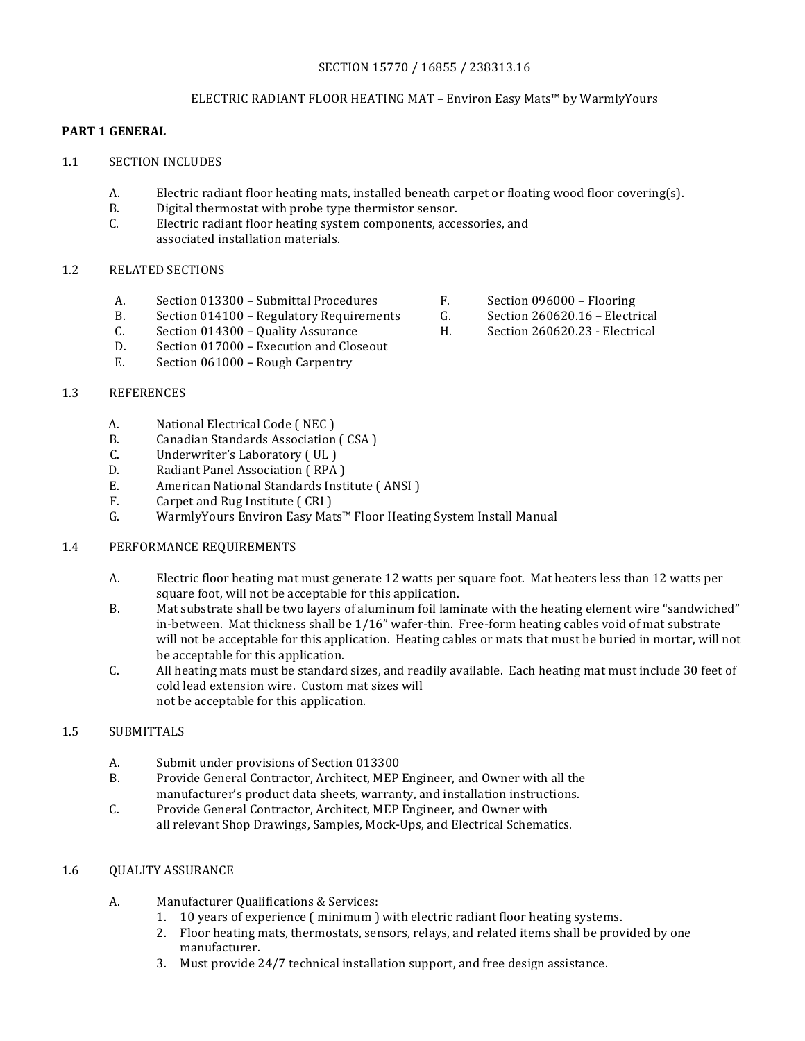### SECTION 15770 / 16855 / 238313.16

### ELECTRIC RADIANT FLOOR HEATING MAT – Environ Easy Mats™ by WarmlyYours

## **PART 1 GENERAL**

- 1.1 SECTION INCLUDES
	- A. Electric radiant floor heating mats, installed beneath carpet or floating wood floor covering(s).
	- B. Digital thermostat with probe type thermistor sensor.
	- C. Electric radiant floor heating system components, accessories, and associated installation materials.

### 1.2 RELATED SECTIONS

- A. Section 013300 Submittal Procedures F. Section 096000 Flooring
- B. Section 014100 Regulatory Requirements G. Section 260620.16 Electrical
- C. Section 014300 Quality Assurance **H.** Section 260620.23 Electrical
- D. Section 017000 Execution and Closeout
- E. Section 061000 Rough Carpentry

#### 1.3 REFERENCES

- A. National Electrical Code (NEC)<br>B. Canadian Standards Association
- B. Canadian Standards Association (CSA)<br>C. Underwriter's Laboratory (UL)
- C. Underwriter's Laboratory (UL)<br>D. Radiant Panel Association (RPA)
- D. Radiant Panel Association ( RPA )<br>E. American National Standards Insti
- E. American National Standards Institute ( ANSI )<br>F. Carpet and Rug Institute ( CRI )
- F. Carpet and Rug Institute (CRI)<br>G. WarmlyYours Environ Easy Mat
- WarmlyYours Environ Easy Mats™ Floor Heating System Install Manual

#### 1.4 PERFORMANCE REQUIREMENTS

- A. Electric floor heating mat must generate 12 watts per square foot. Mat heaters less than 12 watts per square foot, will not be acceptable for this application.
- B. Mat substrate shall be two layers of aluminum foil laminate with the heating element wire "sandwiched" in-between. Mat thickness shall be  $1/16$ " wafer-thin. Free-form heating cables void of mat substrate will not be acceptable for this application. Heating cables or mats that must be buried in mortar, will not be acceptable for this application.
- C. All heating mats must be standard sizes, and readily available. Each heating mat must include 30 feet of cold lead extension wire. Custom mat sizes will not be acceptable for this application.

## 1.5 SUBMITTALS

- A. Submit under provisions of Section 013300
- B. Provide General Contractor, Architect, MEP Engineer, and Owner with all the manufacturer's product data sheets, warranty, and installation instructions.
- C. Provide General Contractor, Architect, MEP Engineer, and Owner with all relevant Shop Drawings, Samples, Mock-Ups, and Electrical Schematics.

#### 1.6 OUALITY ASSURANCE

- A. Manufacturer Qualifications & Services:
	- 1. 10 years of experience (minimum) with electric radiant floor heating systems.
	- 2. Floor heating mats, thermostats, sensors, relays, and related items shall be provided by one manufacturer.
	- 3. Must provide 24/7 technical installation support, and free design assistance.
- 
- 
-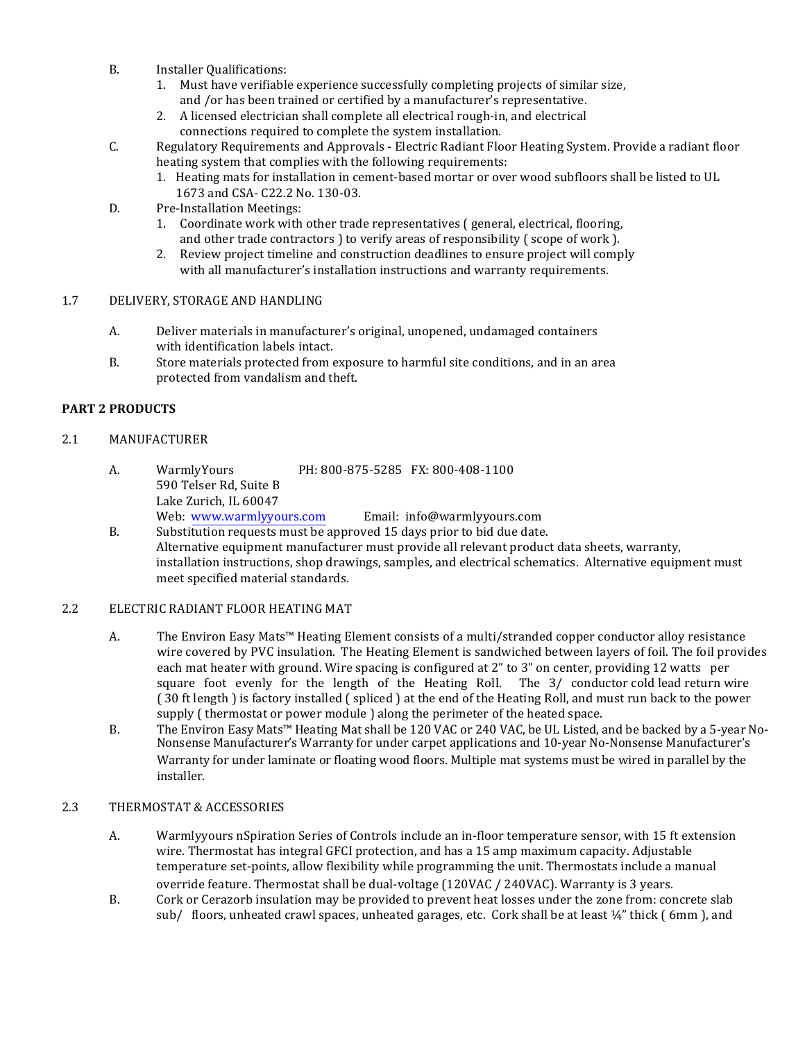- B. Installer Qualifications:
	- 1. Must have verifiable experience successfully completing projects of similar size, and /or has been trained or certified by a manufacturer's representative.
	- 2. A licensed electrician shall complete all electrical rough-in, and electrical connections required to complete the system installation.
- C. Regulatory Requirements and Approvals Electric Radiant Floor Heating System. Provide a radiant floor heating system that complies with the following requirements:
	- 1. Heating mats for installation in cement-based mortar or over wood subfloors shall be listed to UL 1673 and CSA- C22.2 No. 130-03.
- D. Pre-Installation Meetings:
	- 1. Coordinate work with other trade representatives ( general, electrical, flooring, and other trade contractors ) to verify areas of responsibility (scope of work ).
	- 2. Review project timeline and construction deadlines to ensure project will comply with all manufacturer's installation instructions and warranty requirements.

### 1.7 DELIVERY, STORAGE AND HANDLING

- A. Deliver materials in manufacturer's original, unopened, undamaged containers with identification labels intact.
- B. Store materials protected from exposure to harmful site conditions, and in an area protected from vandalism and theft.

### **PART 2 PRODUCTS**

### 2.1 MANUFACTURER

- A. WarmlyYours PH: 800-875-5285 FX: 800-408-1100 590 Telser Rd, Suite B Lake Zurich, IL 60047<br>Web: www.warmlyyours.com Email: info@warmlyyours.com
- B. Substitution requests must be approved 15 days prior to bid due date. Alternative equipment manufacturer must provide all relevant product data sheets, warranty, installation instructions, shop drawings, samples, and electrical schematics. Alternative equipment must meet specified material standards.

### 2.2 ELECTRIC RADIANT FLOOR HEATING MAT

- A. The Environ Easy Mats™ Heating Element consists of a multi/stranded copper conductor alloy resistance wire covered by PVC insulation. The Heating Element is sandwiched between layers of foil. The foil provides each mat heater with ground. Wire spacing is configured at 2" to 3" on center, providing 12 watts per square foot evenly for the length of the Heating Roll. The  $3/$  conductor cold lead return wire (30 ft length) is factory installed (spliced) at the end of the Heating Roll, and must run back to the power supply ( thermostat or power module ) along the perimeter of the heated space.
- B. The Environ Easy Mats<sup>™</sup> Heating Mat shall be 120 VAC or 240 VAC, be UL Listed, and be backed by a 5-year No-Nonsense Manufacturer's Warranty for under carpet applications and 10-year No-Nonsense Manufacturer's Warranty for under laminate or floating wood floors. Multiple mat systems must be wired in parallel by the installer.

### 2.3 THERMOSTAT & ACCESSORIES

- A. Warmlyyours nSpiration Series of Controls include an in-floor temperature sensor, with 15 ft extension wire. Thermostat has integral GFCI protection, and has a 15 amp maximum capacity. Adjustable temperature set-points, allow flexibility while programming the unit. Thermostats include a manual override feature. Thermostat shall be dual-voltage (120VAC / 240VAC). Warranty is 3 years.
- B. Cork or Cerazorb insulation may be provided to prevent heat losses under the zone from: concrete slab sub/ floors, unheated crawl spaces, unheated garages, etc. Cork shall be at least  $\frac{1}{4}$ " thick (6mm), and